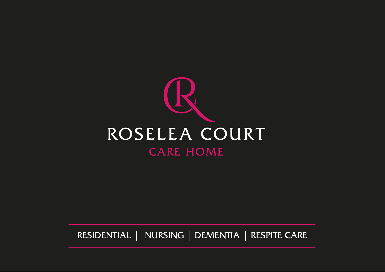

RESIDENTIAL | NURSING | DEMENTIA | RESPITE CARE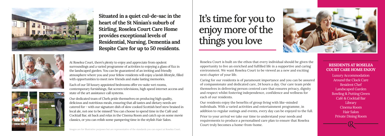At Roselea Court, there's plenty to enjoy and appreciate from opulent surroundings and a varied programme of activities to enjoying a glass of fizz in the landscaped garden. You can be guaranteed of an inviting and friendly atmosphere where you and your fellow residents will enjoy a lavish lifestyle, filled with opportunities to meet new friends and make lasting memories.

Each of our 50 luxury appointed bedrooms offer en-suite wet rooms, contemporary furnishings, flat screen televisions, high speed internet access and state of the art assistance call systems.

Our dedicated team of Chefs pride themselves on producing high quality, delicious and nutritious meals, ensuring that all tastes and dietary needs are catered for - with our signature dish of slow cooked Scottish beef stew braised in local ale, not one to be missed! You can choose to spend time in the Café and Cocktail Bar, sit back and relax in the Cinema Room and catch up on some movie classics, or you can relish some pampering time in the stylish Hair Salon.

Roselea Court is built on the ethos that every individual should be given the opportunity to live an enriched and fulfilled life in a supportive and caring environment. We want Roselea Court to be viewed as a new and exciting next chapter of your life.

Caring for our residents is of paramount importance and you can be assured of compassionate and dedicated care, 24 hours a day. Our care team pride themselves in delivering person centred care that ensures privacy, dignity and respect whilst fostering independence, confidence and wellness for each of our residents.

Our residents enjoy the benefits of group living with like-minded individuals. With a varied activities and entertainment programme, in addition to regular outings and events, every day can be enjoyed to the full.

Prior to your arrival we take our time to understand your needs and requirements to produce a personalised care plan to ensure that Roselea Court truly becomes a home-from-home.





**Situated in a quiet cul-de-sac in the heart of the St Ninian's suburb of Stirling, Roselea Court Care Home provides exceptional levels of Residential, Nursing, Dementia and Respite Care for up to 50 residents.**





It's time for you to enjoy more of the things you love

## **RESIDENTS AT ROSELEA COURT CARE HOME ENJOY**

Luxury Accommodation Around the Clock Care Resident Chef Landscaped Garden Bowling & Putting Green Café & Cocktail Bar Library Cinema Room Hair Salon Private Dining Room